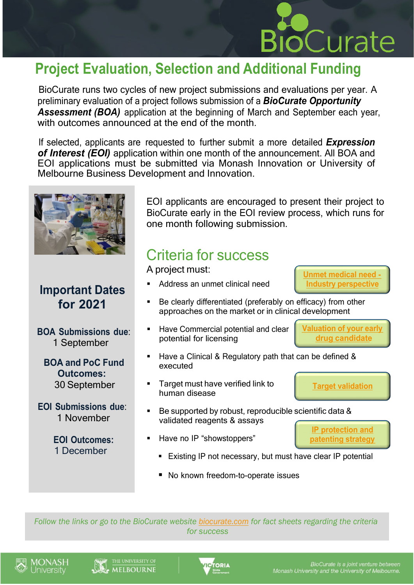

#### **Project Evaluation, Selection and Additional Funding**

BioCurate runs two cycles of new project submissions and evaluations per year. A preliminary evaluation of a project follows submission of a *BioCurate Opportunity Assessment (BOA)* application at the beginning of March and September each year, with outcomes announced at the end of the month.

If selected, applicants are requested to further submit a more detailed *Expression of Interest (EOI)* application within one month of the announcement. All BOA and EOI applications must be submitted via Monash Innovation or University of Melbourne Business Development and Innovation.



#### **Important Dates for 2021**

**BOA Submissions due**: 1 September

**BOA and PoC Fund Outcomes:** 30 September

**EOI Submissions due**: 1 November

> **EOI Outcomes:** 1 December

EOI applicants are encouraged to present their project to BioCurate early in the EOI review process, which runs for one month following submission.

### Criteria for success

A project must:

- Address an unmet clinical need
	- Be clearly differentiated (preferably on efficacy) from other approaches on the market or in clinical development
- Have Commercial potential and clear potential for licensing

**[Valuation](https://www.biocurate.com/resources/valuation-of-your-early-drug-candidate/) of your early drug [candidate](https://www.biocurate.com/resources/valuation-of-your-early-drug-candidate/)**

**Unmet [medical](https://www.biocurate.com/resources/unmet-medical-need-industrys-perspective/) need - Industry [perspective](https://www.biocurate.com/resources/unmet-medical-need-industrys-perspective/)**

- Have a Clinical & Regulatory path that can be defined & executed
- Target must have verified link to human disease
- Be supported by robust, reproducible scientific data & validated reagents & assays
- Have no IP "showstoppers"
	- **Existing IP not necessary, but must have clear IP potential**
	- No known freedom-to-operate issues

*Follow the links or go to the BioCurate website [biocurate.com](https://www.biocurate.com/) for fact sheets regarding the criteria for success*







**IP [protection](https://www.biocurate.com/resources/ip-protection-and-patenting-strategy-biocurates-perspective/) and [patenting](https://www.biocurate.com/resources/ip-protection-and-patenting-strategy-biocurates-perspective/) strategy**

**[Target validation](https://www.biocurate.com/resources/target-validation-biocurates-perspective/)**